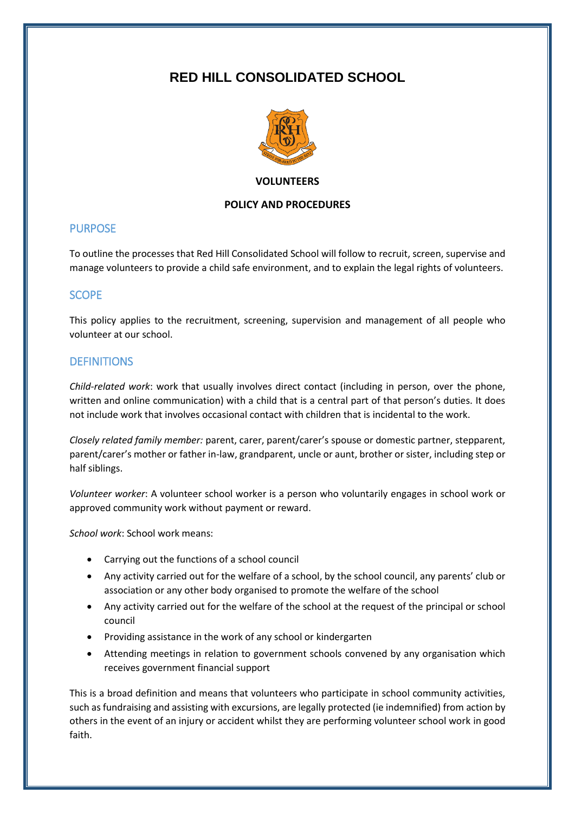# **RED HILL CONSOLIDATED SCHOOL**



#### **VOLUNTEERS**

#### **POLICY AND PROCEDURES**

## PURPOSE

To outline the processes that Red Hill Consolidated School will follow to recruit, screen, supervise and manage volunteers to provide a child safe environment, and to explain the legal rights of volunteers.

# SCOPE

This policy applies to the recruitment, screening, supervision and management of all people who volunteer at our school.

# **DEFINITIONS**

*Child-related work*: work that usually involves direct contact (including in person, over the phone, written and online communication) with a child that is a central part of that person's duties. It does not include work that involves occasional contact with children that is incidental to the work.

*Closely related family member:* parent, carer, parent/carer's spouse or domestic partner, stepparent, parent/carer's mother or father in-law, grandparent, uncle or aunt, brother or sister, including step or half siblings.

*Volunteer worker*: A volunteer school worker is a person who voluntarily engages in school work or approved community work without payment or reward.

*School work*: School work means:

- Carrying out the functions of a school council
- Any activity carried out for the welfare of a school, by the school council, any parents' club or association or any other body organised to promote the welfare of the school
- Any activity carried out for the welfare of the school at the request of the principal or school council
- Providing assistance in the work of any school or kindergarten
- Attending meetings in relation to government schools convened by any organisation which receives government financial support

This is a broad definition and means that volunteers who participate in school community activities, such as fundraising and assisting with excursions, are legally protected (ie indemnified) from action by others in the event of an injury or accident whilst they are performing volunteer school work in good faith.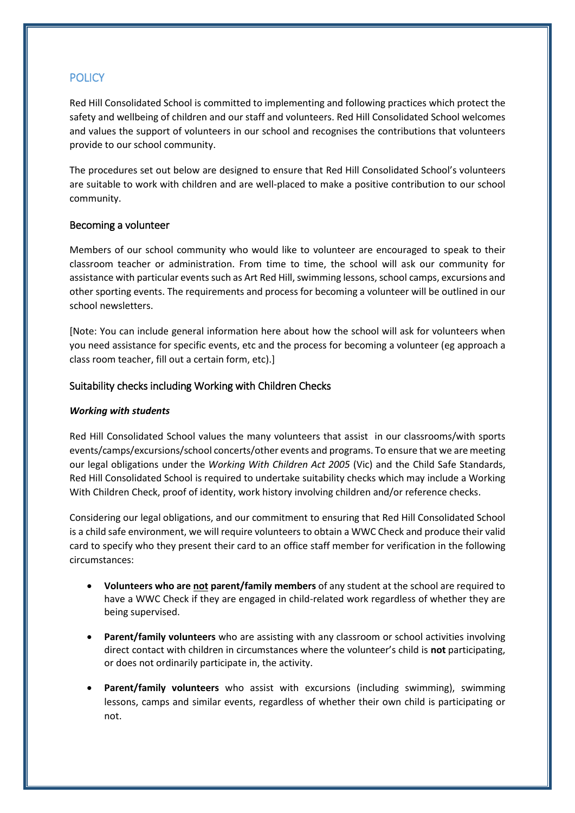# **POLICY**

Red Hill Consolidated School is committed to implementing and following practices which protect the safety and wellbeing of children and our staff and volunteers. Red Hill Consolidated School welcomes and values the support of volunteers in our school and recognises the contributions that volunteers provide to our school community.

The procedures set out below are designed to ensure that Red Hill Consolidated School's volunteers are suitable to work with children and are well-placed to make a positive contribution to our school community.

#### Becoming a volunteer

Members of our school community who would like to volunteer are encouraged to speak to their classroom teacher or administration. From time to time, the school will ask our community for assistance with particular events such as Art Red Hill, swimming lessons, school camps, excursions and other sporting events. The requirements and process for becoming a volunteer will be outlined in our school newsletters.

[Note: You can include general information here about how the school will ask for volunteers when you need assistance for specific events, etc and the process for becoming a volunteer (eg approach a class room teacher, fill out a certain form, etc).]

## Suitability checks including Working with Children Checks

#### *Working with students*

Red Hill Consolidated School values the many volunteers that assist in our classrooms/with sports events/camps/excursions/school concerts/other events and programs. To ensure that we are meeting our legal obligations under the *Working With Children Act 2005* (Vic) and the Child Safe Standards, Red Hill Consolidated School is required to undertake suitability checks which may include a Working With Children Check, proof of identity, work history involving children and/or reference checks.

Considering our legal obligations, and our commitment to ensuring that Red Hill Consolidated School is a child safe environment, we will require volunteers to obtain a WWC Check and produce their valid card to specify who they present their card to an office staff member for verification in the following circumstances:

- **Volunteers who are not parent/family members** of any student at the school are required to have a WWC Check if they are engaged in child-related work regardless of whether they are being supervised.
- **Parent/family volunteers** who are assisting with any classroom or school activities involving direct contact with children in circumstances where the volunteer's child is **not** participating, or does not ordinarily participate in, the activity.
- **Parent/family volunteers** who assist with excursions (including swimming), swimming lessons, camps and similar events, regardless of whether their own child is participating or not.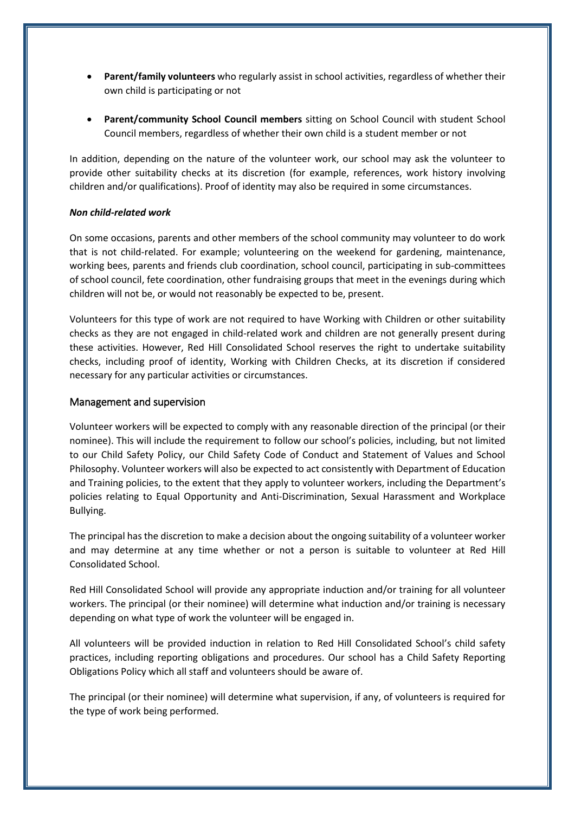- **Parent/family volunteers** who regularly assist in school activities, regardless of whether their own child is participating or not
- **Parent/community School Council members** sitting on School Council with student School Council members, regardless of whether their own child is a student member or not

In addition, depending on the nature of the volunteer work, our school may ask the volunteer to provide other suitability checks at its discretion (for example, references, work history involving children and/or qualifications). Proof of identity may also be required in some circumstances.

#### *Non child-related work*

On some occasions, parents and other members of the school community may volunteer to do work that is not child-related. For example; volunteering on the weekend for gardening, maintenance, working bees, parents and friends club coordination, school council, participating in sub-committees of school council, fete coordination, other fundraising groups that meet in the evenings during which children will not be, or would not reasonably be expected to be, present.

Volunteers for this type of work are not required to have Working with Children or other suitability checks as they are not engaged in child-related work and children are not generally present during these activities. However, Red Hill Consolidated School reserves the right to undertake suitability checks, including proof of identity, Working with Children Checks, at its discretion if considered necessary for any particular activities or circumstances.

#### Management and supervision

Volunteer workers will be expected to comply with any reasonable direction of the principal (or their nominee). This will include the requirement to follow our school's policies, including, but not limited to our Child Safety Policy, our Child Safety Code of Conduct and Statement of Values and School Philosophy. Volunteer workers will also be expected to act consistently with Department of Education and Training policies, to the extent that they apply to volunteer workers, including the Department's policies relating to Equal Opportunity and Anti-Discrimination, Sexual Harassment and Workplace Bullying.

The principal has the discretion to make a decision about the ongoing suitability of a volunteer worker and may determine at any time whether or not a person is suitable to volunteer at Red Hill Consolidated School.

Red Hill Consolidated School will provide any appropriate induction and/or training for all volunteer workers. The principal (or their nominee) will determine what induction and/or training is necessary depending on what type of work the volunteer will be engaged in.

All volunteers will be provided induction in relation to Red Hill Consolidated School's child safety practices, including reporting obligations and procedures. Our school has a Child Safety Reporting Obligations Policy which all staff and volunteers should be aware of.

The principal (or their nominee) will determine what supervision, if any, of volunteers is required for the type of work being performed.